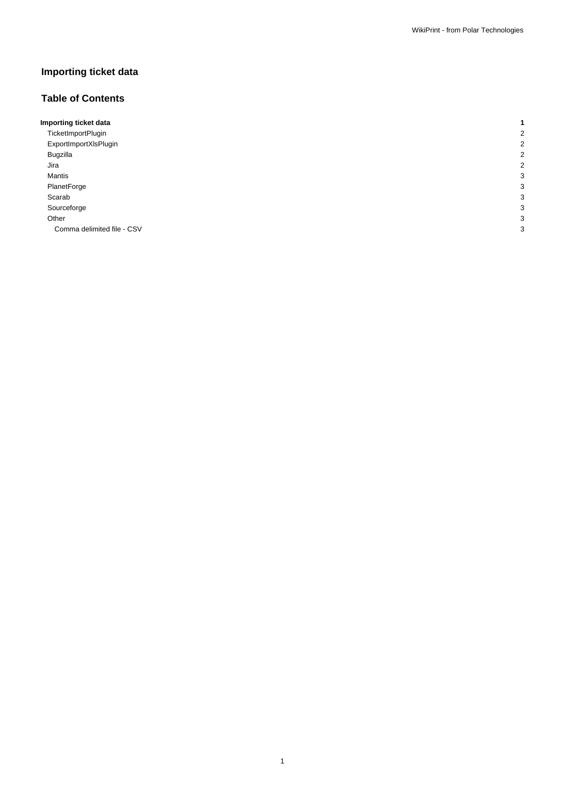# **Importing ticket data**

# **Table of Contents**

| Importing ticket data      |   |
|----------------------------|---|
| TicketImportPlugin         |   |
| ExportImportXIsPlugin      |   |
| Bugzilla                   |   |
| Jira                       |   |
| Mantis                     | c |
| PlanetForge                |   |
| Scarab                     |   |
| Sourceforge                |   |
| Other                      | c |
| Comma delimited file - CSV | З |
|                            |   |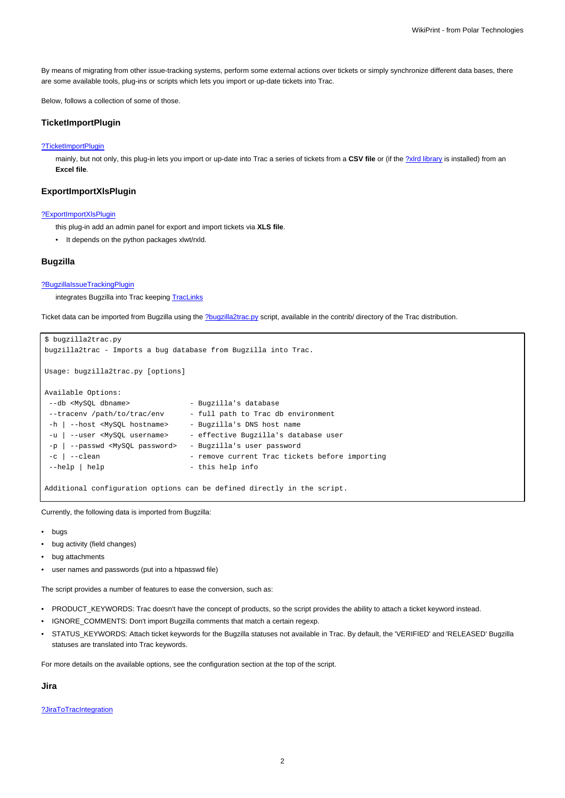By means of migrating from other issue-tracking systems, perform some external actions over tickets or simply synchronize different data bases, there are some available tools, plug-ins or scripts which lets you import or up-date tickets into Trac.

Below, follows a collection of some of those.

# **TicketImportPlugin**

# [?TicketImportPlugin](http://trac-hacks.org/wiki/TicketImportPlugin)

mainly, but not only, this plug-in lets you import or up-date into Trac a series of tickets from a CSV file or (if the **?xlrd library** is installed) from an **Excel file**.

# **ExportImportXlsPlugin**

#### [?ExportImportXlsPlugin](http://trac-hacks.org/wiki/ExportImportXlsPlugin)

this plug-in add an admin panel for export and import tickets via **XLS file**.

• It depends on the python packages xlwt/rxld.

# **Bugzilla**

#### [?BugzillaIssueTrackingPlugin](http://trac-hacks.org/wiki/BugzillaIssueTrackingPlugin)

integrates Bugzilla into Trac keeping [TracLinks](https://meteo.unican.es/trac/wiki/TracLinks)

Ticket data can be imported from Bugzilla using the [?bugzilla2trac.py](http://trac.edgewall.org/browser/trunk/contrib/bugzilla2trac.py) script, available in the contrib/ directory of the Trac distribution.

```
$ bugzilla2trac.py
bugzilla2trac - Imports a bug database from Bugzilla into Trac.
Usage: bugzilla2trac.py [options]
Available Options:
 --db <MySQL dbname> - Bugzilla's database
 --tracenv /path/to/trac/env - full path to Trac db environment
-h | --host <MySQL hostname> - Bugzilla's DNS host name
 -u | --user <MySQL username> - effective Bugzilla's database user
 -p | --passwd <MySQL password> - Bugzilla's user password
 -c | --clean - remove current Trac tickets before importing
 --help | help --help info
Additional configuration options can be defined directly in the script.
```
Currently, the following data is imported from Bugzilla:

- bugs
- bug activity (field changes)
- bug attachments
- user names and passwords (put into a htpasswd file)

The script provides a number of features to ease the conversion, such as:

- PRODUCT\_KEYWORDS: Trac doesn't have the concept of products, so the script provides the ability to attach a ticket keyword instead.
- IGNORE\_COMMENTS: Don't import Bugzilla comments that match a certain regexp.
- STATUS\_KEYWORDS: Attach ticket keywords for the Bugzilla statuses not available in Trac. By default, the 'VERIFIED' and 'RELEASED' Bugzilla statuses are translated into Trac keywords.

For more details on the available options, see the configuration section at the top of the script.

**Jira**

[?JiraToTracIntegration](http://trac-hacks.org/wiki/JiraToTracIntegration)